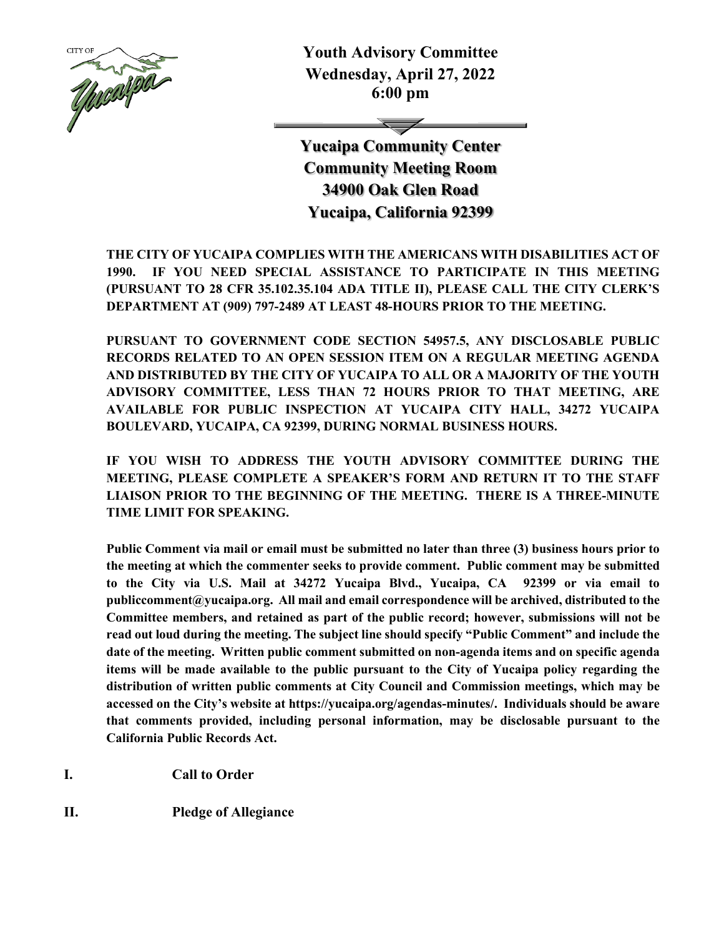

**Youth Advisory Committee Wednesday, April 27, 2022 6:00 pm**

**Yucaipa Community Center Community Meeting Room 34900 Oak Glen Road Yucaipa, California 92399**

**THE CITY OF YUCAIPA COMPLIES WITH THE AMERICANS WITH DISABILITIES ACT OF 1990. IF YOU NEED SPECIAL ASSISTANCE TO PARTICIPATE IN THIS MEETING (PURSUANT TO 28 CFR 35.102.35.104 ADA TITLE II), PLEASE CALL THE CITY CLERK'S DEPARTMENT AT (909) 797-2489 AT LEAST 48-HOURS PRIOR TO THE MEETING.**

**PURSUANT TO GOVERNMENT CODE SECTION 54957.5, ANY DISCLOSABLE PUBLIC RECORDS RELATED TO AN OPEN SESSION ITEM ON A REGULAR MEETING AGENDA AND DISTRIBUTED BY THE CITY OF YUCAIPA TO ALL OR A MAJORITY OF THE YOUTH ADVISORY COMMITTEE, LESS THAN 72 HOURS PRIOR TO THAT MEETING, ARE AVAILABLE FOR PUBLIC INSPECTION AT YUCAIPA CITY HALL, 34272 YUCAIPA BOULEVARD, YUCAIPA, CA 92399, DURING NORMAL BUSINESS HOURS.**

**IF YOU WISH TO ADDRESS THE YOUTH ADVISORY COMMITTEE DURING THE MEETING, PLEASE COMPLETE A SPEAKER'S FORM AND RETURN IT TO THE STAFF LIAISON PRIOR TO THE BEGINNING OF THE MEETING. THERE IS A THREE-MINUTE TIME LIMIT FOR SPEAKING.**

**Public Comment via mail or email must be submitted no later than three (3) business hours prior to the meeting at which the commenter seeks to provide comment. Public comment may be submitted to the City via U.S. Mail at 34272 Yucaipa Blvd., Yucaipa, CA 92399 or via email to publiccomment@yucaipa.org. All mail and email correspondence will be archived, distributed to the Committee members, and retained as part of the public record; however, submissions will not be read out loud during the meeting. The subject line should specify "Public Comment" and include the date of the meeting. Written public comment submitted on non-agenda items and on specific agenda items will be made available to the public pursuant to the City of Yucaipa policy regarding the distribution of written public comments at City Council and Commission meetings, which may be accessed on the City's website at https://yucaipa.org/agendas-minutes/. Individuals should be aware that comments provided, including personal information, may be disclosable pursuant to the California Public Records Act.**

**I. Call to Order**

**II. Pledge of Allegiance**